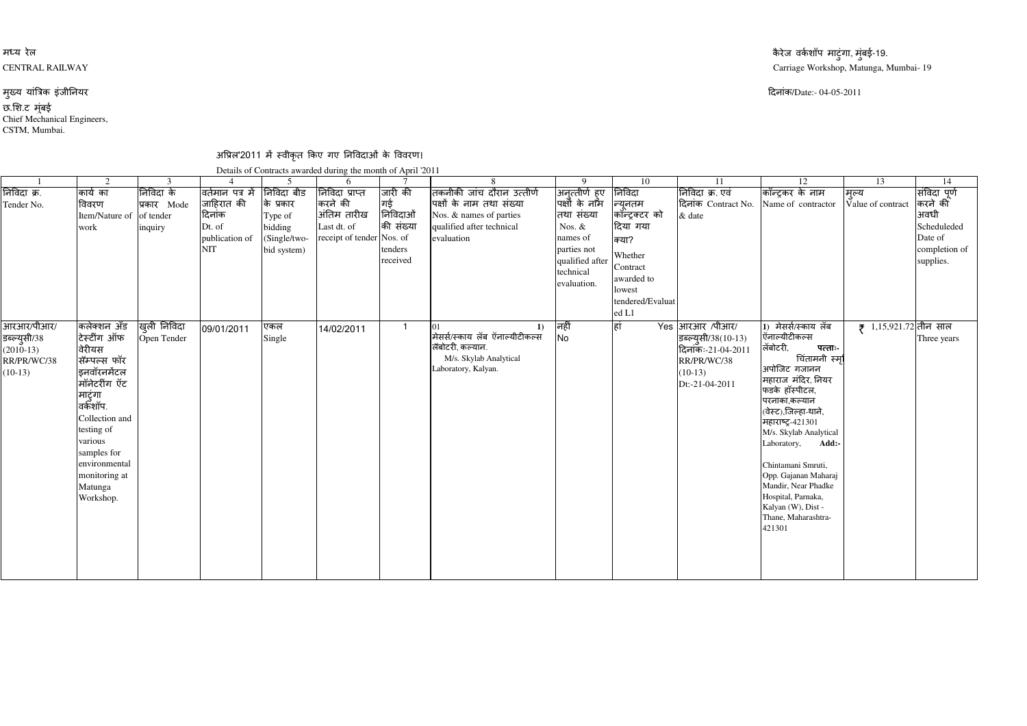## मध्य रेल कै रेज करने के प्राप्त करने के प्राप्त करने के राजधान करने के प्राप्त करने के प्राप्त करने के प्राप्त करने के र<br>के राजधान करने के प्राप्त करने के प्राप्त करने के प्राप्त करने के प्राप्त करने के प्राप्त करने के प्राप्त करन CENTRAL RAILWAY

## मुख्य यांत्रिक इंजीनियर

CSTM, Mumbai.छ.<mark>शि.ट मुंबई</mark><br>Chief Mechanical Engineers, न्तर अस्ति । अस्ति । अस्ति । अस्ति । अस्ति । अस्ति । अस्ति । अस्ति । अस्ति । अस्ति । अस्ति । अस्ति । अस्ति । अ दनांक/Date:- 04-05-2011

अप्रिल'2011 में स्वीकृत किए गए निविदाओं के विवरण।<br>Dataila of Castrasts sureded during the worth of April 12

|                                                                       | $\mathcal{D}$                                                                                                                                                                                                                  | 3                                                |                                                                                     |                                                                              | Details of Contracts awarded during the month of April '2011<br>6                    |                                                               |                                                                                                                               | $\mathbf Q$                                                                                                                            | 10                                                                                                                                   | 11                                                                                                        | 12                                                                                                                                                                                                                                                                                                                                                                                                   | 13                                | 14                                                                                      |
|-----------------------------------------------------------------------|--------------------------------------------------------------------------------------------------------------------------------------------------------------------------------------------------------------------------------|--------------------------------------------------|-------------------------------------------------------------------------------------|------------------------------------------------------------------------------|--------------------------------------------------------------------------------------|---------------------------------------------------------------|-------------------------------------------------------------------------------------------------------------------------------|----------------------------------------------------------------------------------------------------------------------------------------|--------------------------------------------------------------------------------------------------------------------------------------|-----------------------------------------------------------------------------------------------------------|------------------------------------------------------------------------------------------------------------------------------------------------------------------------------------------------------------------------------------------------------------------------------------------------------------------------------------------------------------------------------------------------------|-----------------------------------|-----------------------------------------------------------------------------------------|
| निविदा क्र.<br>Tender No.                                             | कार्य का<br>विवरण<br>Item/Nature of<br>work                                                                                                                                                                                    | निविदा के<br>प्रकार Mode<br>of tender<br>inquiry | विर्तमान पत्र में<br>जाहिरात की<br>दिनांक<br>Dt. of<br>publication of<br><b>NIT</b> | निविदा बीड<br>के प्रकार<br>Type of<br>bidding<br>(Single/two-<br>bid system) | निविदा प्राप्त<br>करने की<br>अंतिम तारीख<br>Last dt. of<br>receipt of tender Nos. of | जारी की<br>गई<br>निविदाओं<br>की संख्या<br>tenders<br>received | तिकनीकी जांच दौरान उत्तीर्ण<br>पक्षों के नाम तथा संख्या<br>Nos. & names of parties<br>qualified after technical<br>evaluation | <br>अनुत्तीर्ण हुए<br> पक्षों के नाम<br>तथा संख्या<br>Nos. &<br>names of<br>parties not<br>qualified after<br>technical<br>evaluation. | निविदा<br>न्यूनतम<br>कॉन्ट्रक्टर को<br>दिया गया<br>क्या?<br>Whether<br>Contract<br>awarded to<br>lowest<br>tendered/Evaluat<br>ed L1 | निविदा क्र. एवं<br>दिनांक Contract No.<br>& date                                                          | कॉन्ट्रकर के नाम<br>Name of contractor                                                                                                                                                                                                                                                                                                                                                               | मुल्य<br>Value of contract        | संविदा पूर्ण<br>करने की<br>अवधी<br>Scheduleded<br>Date of<br>completion of<br>supplies. |
| आरआर/पीआर/<br>डब्ल्युसी/38<br>$(2010-13)$<br>RR/PR/WC/38<br>$(10-13)$ | कलेक्शन अँड<br>टेस्टींग ऑफ<br>वेरीयस<br>सॅम्पल्स फॉर<br>इनवॉरनमेंटल<br>मॉनेटरींग ऍट<br>माटुंगा<br>वर्कशॉप.<br>Collection and<br>testing of<br>various<br>samples for<br>environmental<br>monitoring at<br>Matunga<br>Workshop. | खुली निविदा<br>Open Tender                       | 09/01/2011                                                                          | एकल<br>Single                                                                | 14/02/2011                                                                           | $\overline{\mathbf{1}}$                                       | $\bf{1}$<br>मेसर्स/स्काय लॅब ऍनाल्यीटीकल्स<br>लॅबोटरी, कल्यान.<br>M/s. Skylab Analytical<br>Laboratory, Kalyan.               | निर्ही<br><b>No</b>                                                                                                                    | हां                                                                                                                                  | Yes आरआर /पीआर/<br>इब्ल्युसी/38(10-13)<br>दिनॉकः-21-04-2011<br>RR/PR/WC/38<br>$(10-13)$<br>Dt:-21-04-2011 | 1) मेसर्स/स्काय लॅब<br>ऍनाल्यीटीकल्स<br>लॅबोटरी,<br>पत्ताः-<br>चिंतामनी स्मृ<br>अपोजिट गजानन<br>महाराज मंदिर, नियर<br>फड़के हॉस्पीटल,<br>परनाका,कल्यान<br>(वेस्ट),जिल्हा-थाने,<br>महाराष्ट्र-421301<br>M/s. Skylab Analytical<br>Laboratory, Add:-<br>Chintamani Smruti,<br>Opp. Gajanan Maharaj<br>Mandir, Near Phadke<br>Hospital, Parnaka,<br>Kalyan (W), Dist -<br>Thane, Maharashtra-<br>421301 | $\frac{1}{2}$ 1,15,921.72 तीन साल | Three years                                                                             |